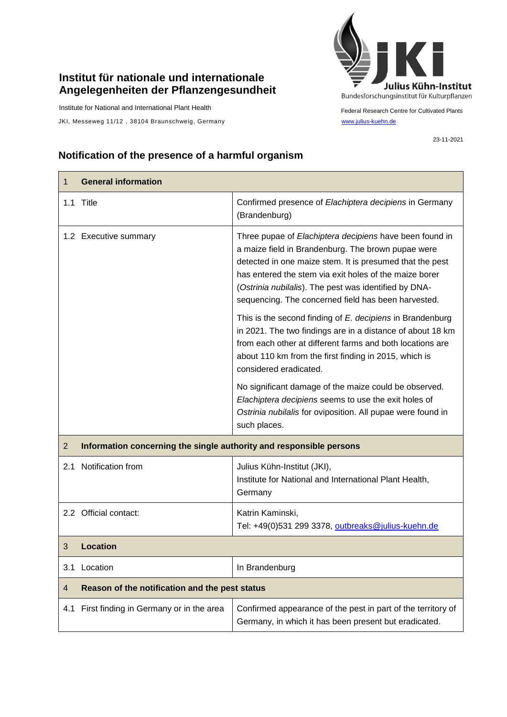## **Institut für nationale und internationale Angelegenheiten der Pflanzengesundheit**

Institute for National and International Plant Health

JKI, Messeweg 11/12, 38104 Braunschweig, Germany [www.julius-kuehn.de](http://www.julius-kuehn.de/)



Federal Research Centre for Cultivated Plants

23-11-2021

## **Notification of the presence of a harmful organism**

| 1              | <b>General information</b>                                          |                                                                                                                                                                                                                                                                                                                                                     |
|----------------|---------------------------------------------------------------------|-----------------------------------------------------------------------------------------------------------------------------------------------------------------------------------------------------------------------------------------------------------------------------------------------------------------------------------------------------|
|                | 1.1 Title                                                           | Confirmed presence of Elachiptera decipiens in Germany<br>(Brandenburg)                                                                                                                                                                                                                                                                             |
|                | 1.2 Executive summary                                               | Three pupae of Elachiptera decipiens have been found in<br>a maize field in Brandenburg. The brown pupae were<br>detected in one maize stem. It is presumed that the pest<br>has entered the stem via exit holes of the maize borer<br>(Ostrinia nubilalis). The pest was identified by DNA-<br>sequencing. The concerned field has been harvested. |
|                |                                                                     | This is the second finding of E. decipiens in Brandenburg<br>in 2021. The two findings are in a distance of about 18 km<br>from each other at different farms and both locations are<br>about 110 km from the first finding in 2015, which is<br>considered eradicated.                                                                             |
|                |                                                                     | No significant damage of the maize could be observed.<br>Elachiptera decipiens seems to use the exit holes of<br>Ostrinia nubilalis for oviposition. All pupae were found in<br>such places.                                                                                                                                                        |
| $\overline{2}$ | Information concerning the single authority and responsible persons |                                                                                                                                                                                                                                                                                                                                                     |
| 2.1            | Notification from                                                   | Julius Kühn-Institut (JKI),<br>Institute for National and International Plant Health,<br>Germany                                                                                                                                                                                                                                                    |
|                | 2.2 Official contact:                                               | Katrin Kaminski,<br>Tel: +49(0)531 299 3378, outbreaks@julius-kuehn.de                                                                                                                                                                                                                                                                              |
| 3              | <b>Location</b>                                                     |                                                                                                                                                                                                                                                                                                                                                     |
|                | 3.1 Location                                                        | In Brandenburg                                                                                                                                                                                                                                                                                                                                      |
| 4              | Reason of the notification and the pest status                      |                                                                                                                                                                                                                                                                                                                                                     |
| 4.1            | First finding in Germany or in the area                             | Confirmed appearance of the pest in part of the territory of<br>Germany, in which it has been present but eradicated.                                                                                                                                                                                                                               |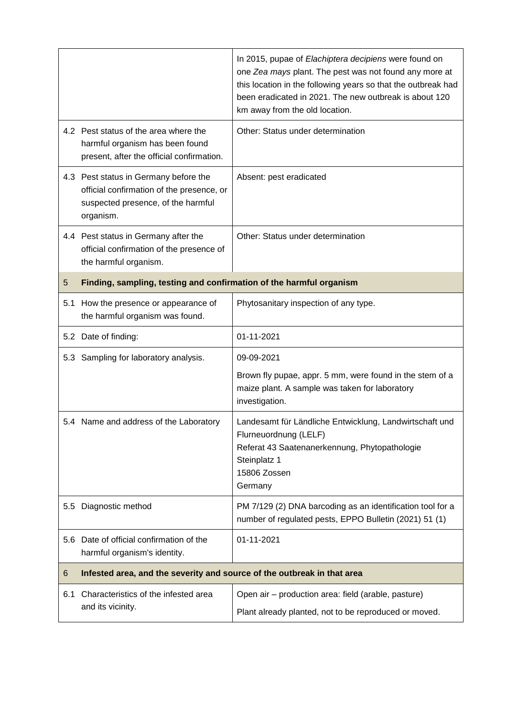|         |                                                                                                                                       | In 2015, pupae of Elachiptera decipiens were found on<br>one Zea mays plant. The pest was not found any more at<br>this location in the following years so that the outbreak had<br>been eradicated in 2021. The new outbreak is about 120<br>km away from the old location. |  |
|---------|---------------------------------------------------------------------------------------------------------------------------------------|------------------------------------------------------------------------------------------------------------------------------------------------------------------------------------------------------------------------------------------------------------------------------|--|
|         | 4.2 Pest status of the area where the<br>harmful organism has been found<br>present, after the official confirmation.                 | Other: Status under determination                                                                                                                                                                                                                                            |  |
|         | 4.3 Pest status in Germany before the<br>official confirmation of the presence, or<br>suspected presence, of the harmful<br>organism. | Absent: pest eradicated                                                                                                                                                                                                                                                      |  |
|         | 4.4 Pest status in Germany after the<br>official confirmation of the presence of<br>the harmful organism.                             | Other: Status under determination                                                                                                                                                                                                                                            |  |
| 5       | Finding, sampling, testing and confirmation of the harmful organism                                                                   |                                                                                                                                                                                                                                                                              |  |
|         | 5.1 How the presence or appearance of<br>the harmful organism was found.                                                              | Phytosanitary inspection of any type.                                                                                                                                                                                                                                        |  |
|         | 5.2 Date of finding:                                                                                                                  | 01-11-2021                                                                                                                                                                                                                                                                   |  |
|         | 5.3 Sampling for laboratory analysis.                                                                                                 | 09-09-2021                                                                                                                                                                                                                                                                   |  |
|         |                                                                                                                                       | Brown fly pupae, appr. 5 mm, were found in the stem of a<br>maize plant. A sample was taken for laboratory<br>investigation.                                                                                                                                                 |  |
|         | 5.4 Name and address of the Laboratory                                                                                                | Landesamt für Ländliche Entwicklung, Landwirtschaft und<br>Flurneuordnung (LELF)<br>Referat 43 Saatenanerkennung, Phytopathologie<br>Steinplatz 1<br>15806 Zossen<br>Germany                                                                                                 |  |
| $5.5\,$ | Diagnostic method                                                                                                                     | PM 7/129 (2) DNA barcoding as an identification tool for a<br>number of regulated pests, EPPO Bulletin (2021) 51 (1)                                                                                                                                                         |  |
|         | 5.6 Date of official confirmation of the<br>harmful organism's identity.                                                              | 01-11-2021                                                                                                                                                                                                                                                                   |  |
| 6       | Infested area, and the severity and source of the outbreak in that area                                                               |                                                                                                                                                                                                                                                                              |  |
| 6.1     | Characteristics of the infested area<br>and its vicinity.                                                                             | Open air - production area: field (arable, pasture)<br>Plant already planted, not to be reproduced or moved.                                                                                                                                                                 |  |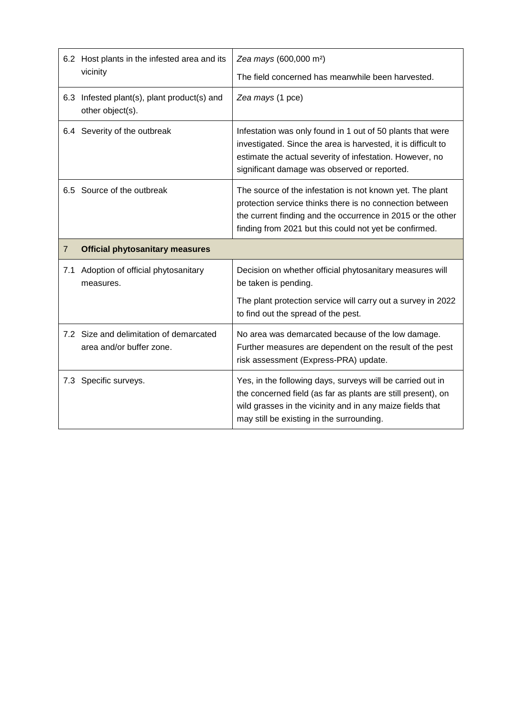|                | 6.2 Host plants in the infested area and its<br>vicinity            | Zea mays (600,000 m <sup>2</sup> )<br>The field concerned has meanwhile been harvested.                                                                                                                                                        |
|----------------|---------------------------------------------------------------------|------------------------------------------------------------------------------------------------------------------------------------------------------------------------------------------------------------------------------------------------|
|                | 6.3 Infested plant(s), plant product(s) and<br>other object(s).     | Zea mays (1 pce)                                                                                                                                                                                                                               |
|                | 6.4 Severity of the outbreak                                        | Infestation was only found in 1 out of 50 plants that were<br>investigated. Since the area is harvested, it is difficult to<br>estimate the actual severity of infestation. However, no<br>significant damage was observed or reported.        |
|                | 6.5 Source of the outbreak                                          | The source of the infestation is not known yet. The plant<br>protection service thinks there is no connection between<br>the current finding and the occurrence in 2015 or the other<br>finding from 2021 but this could not yet be confirmed. |
|                |                                                                     |                                                                                                                                                                                                                                                |
| $\overline{7}$ | <b>Official phytosanitary measures</b>                              |                                                                                                                                                                                                                                                |
| 7.1            | Adoption of official phytosanitary<br>measures.                     | Decision on whether official phytosanitary measures will<br>be taken is pending.                                                                                                                                                               |
|                |                                                                     | The plant protection service will carry out a survey in 2022<br>to find out the spread of the pest.                                                                                                                                            |
|                | 7.2 Size and delimitation of demarcated<br>area and/or buffer zone. | No area was demarcated because of the low damage.<br>Further measures are dependent on the result of the pest<br>risk assessment (Express-PRA) update.                                                                                         |